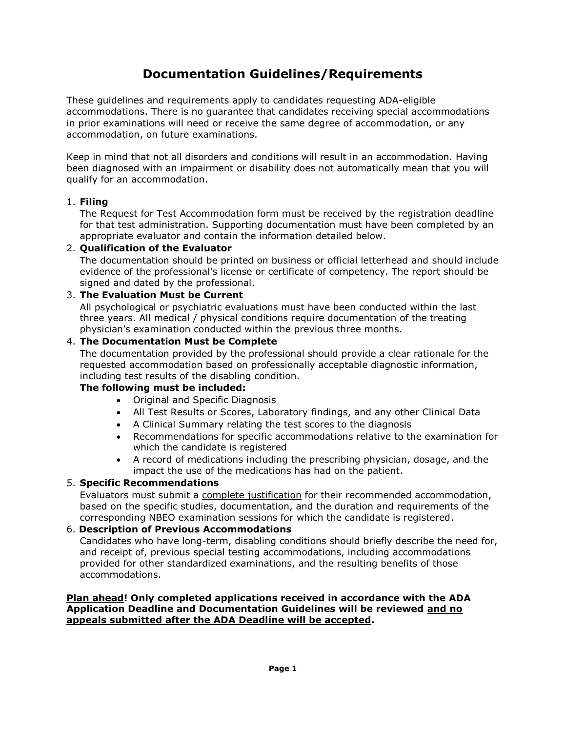# **Documentation Guidelines/Requirements**

These guidelines and requirements apply to candidates requesting ADA-eligible accommodations. There is no guarantee that candidates receiving special accommodations in prior examinations will need or receive the same degree of accommodation, or any accommodation, on future examinations.

Keep in mind that not all disorders and conditions will result in an accommodation. Having been diagnosed with an impairment or disability does not automatically mean that you will qualify for an accommodation.

## 1. **Filing**

The Request for Test Accommodation form must be received by the registration deadline for that test administration. Supporting documentation must have been completed by an appropriate evaluator and contain the information detailed below.

## 2. **Qualification of the Evaluator**

The documentation should be printed on business or official letterhead and should include evidence of the professional's license or certificate of competency. The report should be signed and dated by the professional.

## 3. **The Evaluation Must be Current**

All psychological or psychiatric evaluations must have been conducted within the last three years. All medical / physical conditions require documentation of the treating physician's examination conducted within the previous three months.

## 4. **The Documentation Must be Complete**

The documentation provided by the professional should provide a clear rationale for the requested accommodation based on professionally acceptable diagnostic information, including test results of the disabling condition.

#### **The following must be included:**

- Original and Specific Diagnosis
- All Test Results or Scores, Laboratory findings, and any other Clinical Data
- A Clinical Summary relating the test scores to the diagnosis
- Recommendations for specific accommodations relative to the examination for which the candidate is registered
- A record of medications including the prescribing physician, dosage, and the impact the use of the medications has had on the patient.

#### 5. **Specific Recommendations**

Evaluators must submit a complete justification for their recommended accommodation, based on the specific studies, documentation, and the duration and requirements of the corresponding NBEO examination sessions for which the candidate is registered.

## 6. **Description of Previous Accommodations**

Candidates who have long-term, disabling conditions should briefly describe the need for, and receipt of, previous special testing accommodations, including accommodations provided for other standardized examinations, and the resulting benefits of those accommodations.

## **Plan ahead! Only completed applications received in accordance with the ADA Application Deadline and Documentation Guidelines will be reviewed and no appeals submitted after the ADA Deadline will be accepted.**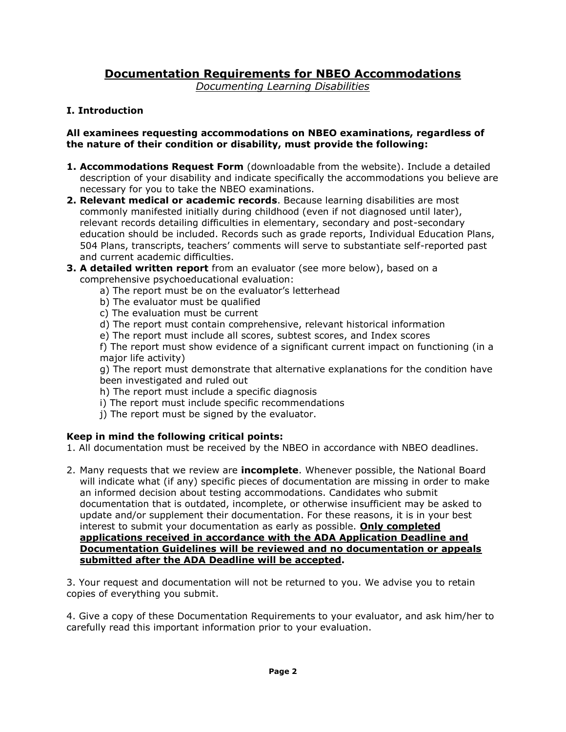# **Documentation Requirements for NBEO Accommodations**

*Documenting Learning Disabilities*

# **I. Introduction**

## **All examinees requesting accommodations on NBEO examinations, regardless of the nature of their condition or disability, must provide the following:**

- **1. Accommodations Request Form** (downloadable from the website). Include a detailed description of your disability and indicate specifically the accommodations you believe are necessary for you to take the NBEO examinations.
- **2. Relevant medical or academic records**. Because learning disabilities are most commonly manifested initially during childhood (even if not diagnosed until later), relevant records detailing difficulties in elementary, secondary and post-secondary education should be included. Records such as grade reports, Individual Education Plans, 504 Plans, transcripts, teachers' comments will serve to substantiate self-reported past and current academic difficulties.
- **3. A detailed written report** from an evaluator (see more below), based on a comprehensive psychoeducational evaluation:
	- a) The report must be on the evaluator's letterhead
	- b) The evaluator must be qualified
	- c) The evaluation must be current
	- d) The report must contain comprehensive, relevant historical information
	- e) The report must include all scores, subtest scores, and Index scores

f) The report must show evidence of a significant current impact on functioning (in a major life activity)

g) The report must demonstrate that alternative explanations for the condition have been investigated and ruled out

- h) The report must include a specific diagnosis
- i) The report must include specific recommendations
- j) The report must be signed by the evaluator.

# **Keep in mind the following critical points:**

1. All documentation must be received by the NBEO in accordance with NBEO deadlines.

2. Many requests that we review are **incomplete**. Whenever possible, the National Board will indicate what (if any) specific pieces of documentation are missing in order to make an informed decision about testing accommodations. Candidates who submit documentation that is outdated, incomplete, or otherwise insufficient may be asked to update and/or supplement their documentation. For these reasons, it is in your best interest to submit your documentation as early as possible. **Only completed applications received in accordance with the ADA Application Deadline and Documentation Guidelines will be reviewed and no documentation or appeals submitted after the ADA Deadline will be accepted.** 

3. Your request and documentation will not be returned to you. We advise you to retain copies of everything you submit.

4. Give a copy of these Documentation Requirements to your evaluator, and ask him/her to carefully read this important information prior to your evaluation.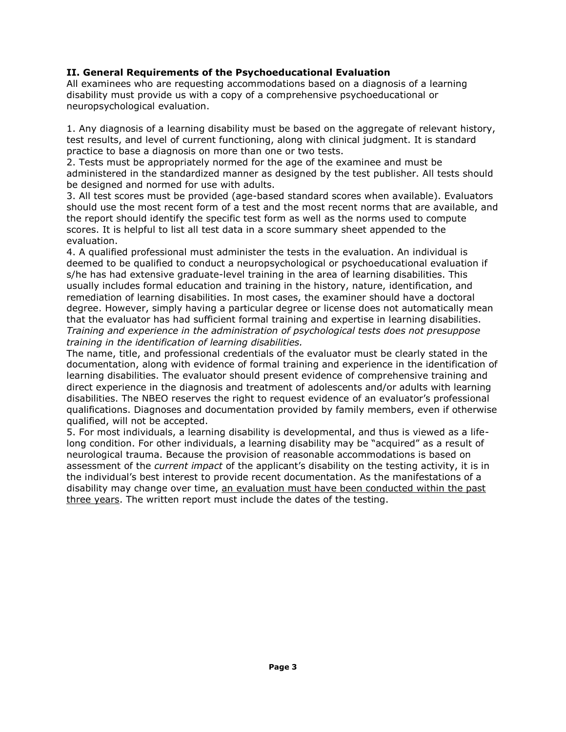# **II. General Requirements of the Psychoeducational Evaluation**

All examinees who are requesting accommodations based on a diagnosis of a learning disability must provide us with a copy of a comprehensive psychoeducational or neuropsychological evaluation.

1. Any diagnosis of a learning disability must be based on the aggregate of relevant history, test results, and level of current functioning, along with clinical judgment. It is standard practice to base a diagnosis on more than one or two tests.

2. Tests must be appropriately normed for the age of the examinee and must be administered in the standardized manner as designed by the test publisher. All tests should be designed and normed for use with adults.

3. All test scores must be provided (age-based standard scores when available). Evaluators should use the most recent form of a test and the most recent norms that are available, and the report should identify the specific test form as well as the norms used to compute scores. It is helpful to list all test data in a score summary sheet appended to the evaluation.

4. A qualified professional must administer the tests in the evaluation. An individual is deemed to be qualified to conduct a neuropsychological or psychoeducational evaluation if s/he has had extensive graduate-level training in the area of learning disabilities. This usually includes formal education and training in the history, nature, identification, and remediation of learning disabilities. In most cases, the examiner should have a doctoral degree. However, simply having a particular degree or license does not automatically mean that the evaluator has had sufficient formal training and expertise in learning disabilities. *Training and experience in the administration of psychological tests does not presuppose training in the identification of learning disabilities.* 

The name, title, and professional credentials of the evaluator must be clearly stated in the documentation, along with evidence of formal training and experience in the identification of learning disabilities. The evaluator should present evidence of comprehensive training and direct experience in the diagnosis and treatment of adolescents and/or adults with learning disabilities. The NBEO reserves the right to request evidence of an evaluator's professional qualifications. Diagnoses and documentation provided by family members, even if otherwise qualified, will not be accepted.

5. For most individuals, a learning disability is developmental, and thus is viewed as a lifelong condition. For other individuals, a learning disability may be "acquired" as a result of neurological trauma. Because the provision of reasonable accommodations is based on assessment of the *current impact* of the applicant's disability on the testing activity, it is in the individual's best interest to provide recent documentation. As the manifestations of a disability may change over time, an evaluation must have been conducted within the past three years. The written report must include the dates of the testing.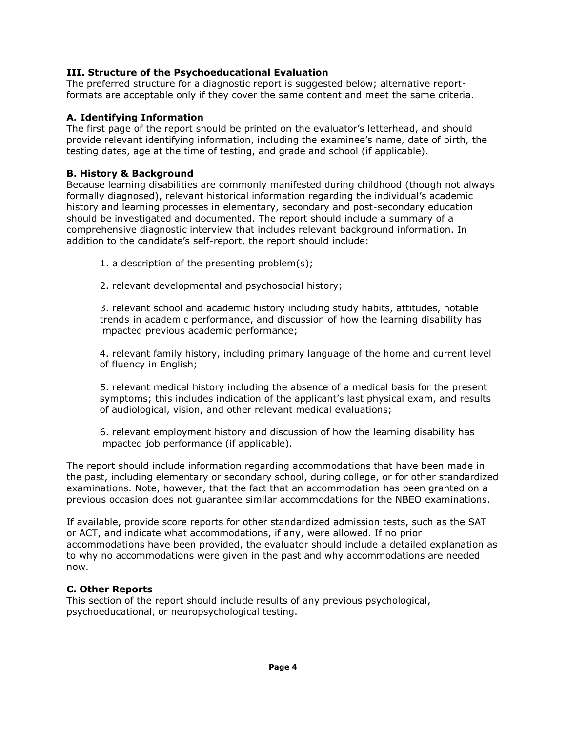## **III. Structure of the Psychoeducational Evaluation**

The preferred structure for a diagnostic report is suggested below; alternative reportformats are acceptable only if they cover the same content and meet the same criteria.

#### **A. Identifying Information**

The first page of the report should be printed on the evaluator's letterhead, and should provide relevant identifying information, including the examinee's name, date of birth, the testing dates, age at the time of testing, and grade and school (if applicable).

## **B. History & Background**

Because learning disabilities are commonly manifested during childhood (though not always formally diagnosed), relevant historical information regarding the individual's academic history and learning processes in elementary, secondary and post-secondary education should be investigated and documented. The report should include a summary of a comprehensive diagnostic interview that includes relevant background information. In addition to the candidate's self-report, the report should include:

- 1. a description of the presenting problem(s);
- 2. relevant developmental and psychosocial history;

3. relevant school and academic history including study habits, attitudes, notable trends in academic performance, and discussion of how the learning disability has impacted previous academic performance;

4. relevant family history, including primary language of the home and current level of fluency in English;

5. relevant medical history including the absence of a medical basis for the present symptoms; this includes indication of the applicant's last physical exam, and results of audiological, vision, and other relevant medical evaluations;

6. relevant employment history and discussion of how the learning disability has impacted job performance (if applicable).

The report should include information regarding accommodations that have been made in the past, including elementary or secondary school, during college, or for other standardized examinations. Note, however, that the fact that an accommodation has been granted on a previous occasion does not guarantee similar accommodations for the NBEO examinations.

If available, provide score reports for other standardized admission tests, such as the SAT or ACT, and indicate what accommodations, if any, were allowed. If no prior accommodations have been provided, the evaluator should include a detailed explanation as to why no accommodations were given in the past and why accommodations are needed now.

#### **C. Other Reports**

This section of the report should include results of any previous psychological, psychoeducational, or neuropsychological testing.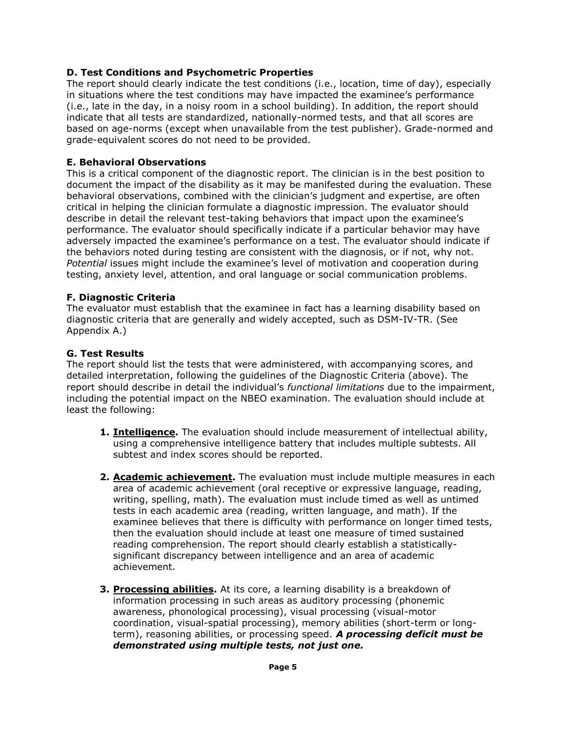## **D. Test Conditions and Psychometric Properties**

The report should clearly indicate the test conditions (i.e., location, time of day), especially in situations where the test conditions may have impacted the examinee's performance (i.e., late in the day, in a noisy room in a school building). In addition, the report should indicate that all tests are standardized, nationally-normed tests, and that all scores are based on age-norms (except when unavailable from the test publisher). Grade-normed and grade-equivalent scores do not need to be provided.

## **E. Behavioral Observations**

This is a critical component of the diagnostic report. The clinician is in the best position to document the impact of the disability as it may be manifested during the evaluation. These behavioral observations, combined with the clinician's judgment and expertise, are often critical in helping the clinician formulate a diagnostic impression. The evaluator should describe in detail the relevant test-taking behaviors that impact upon the examinee's performance. The evaluator should specifically indicate if a particular behavior may have adversely impacted the examinee's performance on a test. The evaluator should indicate if the behaviors noted during testing are consistent with the diagnosis, or if not, why not. *Potential* issues might include the examinee's level of motivation and cooperation during testing, anxiety level, attention, and oral language or social communication problems.

#### **F. Diagnostic Criteria**

The evaluator must establish that the examinee in fact has a learning disability based on diagnostic criteria that are generally and widely accepted, such as DSM-IV-TR. (See Appendix A.)

#### **G. Test Results**

The report should list the tests that were administered, with accompanying scores, and detailed interpretation, following the guidelines of the Diagnostic Criteria (above). The report should describe in detail the individual's *functional limitations* due to the impairment, including the potential impact on the NBEO examination. The evaluation should include at least the following:

- **1. Intelligence.** The evaluation should include measurement of intellectual ability, using a comprehensive intelligence battery that includes multiple subtests. All subtest and index scores should be reported.
- **2. Academic achievement.** The evaluation must include multiple measures in each area of academic achievement (oral receptive or expressive language, reading, writing, spelling, math). The evaluation must include timed as well as untimed tests in each academic area (reading, written language, and math). If the examinee believes that there is difficulty with performance on longer timed tests, then the evaluation should include at least one measure of timed sustained reading comprehension. The report should clearly establish a statisticallysignificant discrepancy between intelligence and an area of academic achievement.
- **3. Processing abilities.** At its core, a learning disability is a breakdown of information processing in such areas as auditory processing (phonemic awareness, phonological processing), visual processing (visual-motor coordination, visual-spatial processing), memory abilities (short-term or longterm), reasoning abilities, or processing speed. *A processing deficit must be demonstrated using multiple tests, not just one.*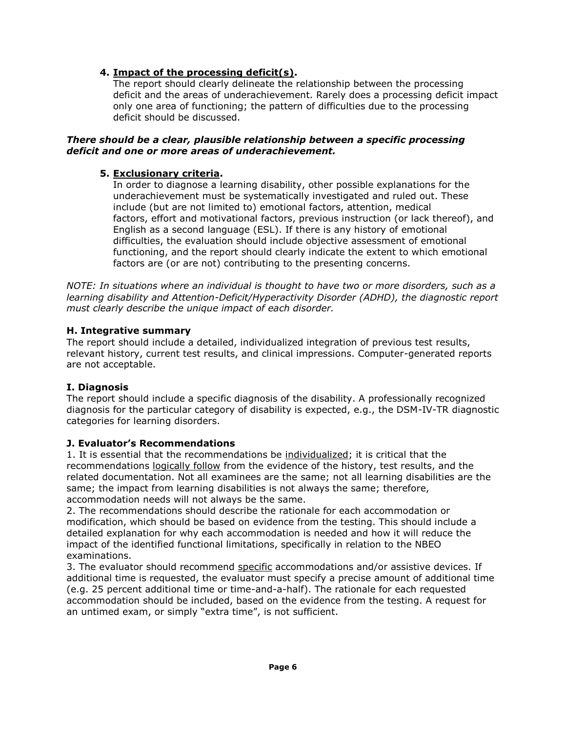# **4. Impact of the processing deficit(s).**

The report should clearly delineate the relationship between the processing deficit and the areas of underachievement. Rarely does a processing deficit impact only one area of functioning; the pattern of difficulties due to the processing deficit should be discussed.

#### *There should be a clear, plausible relationship between a specific processing deficit and one or more areas of underachievement.*

# **5. Exclusionary criteria.**

In order to diagnose a learning disability, other possible explanations for the underachievement must be systematically investigated and ruled out. These include (but are not limited to) emotional factors, attention, medical factors, effort and motivational factors, previous instruction (or lack thereof), and English as a second language (ESL). If there is any history of emotional difficulties, the evaluation should include objective assessment of emotional functioning, and the report should clearly indicate the extent to which emotional factors are (or are not) contributing to the presenting concerns.

*NOTE: In situations where an individual is thought to have two or more disorders, such as a learning disability and Attention-Deficit/Hyperactivity Disorder (ADHD), the diagnostic report must clearly describe the unique impact of each disorder.* 

# **H. Integrative summary**

The report should include a detailed, individualized integration of previous test results, relevant history, current test results, and clinical impressions. Computer-generated reports are not acceptable.

# **I. Diagnosis**

The report should include a specific diagnosis of the disability. A professionally recognized diagnosis for the particular category of disability is expected, e.g., the DSM-IV-TR diagnostic categories for learning disorders.

#### **J. Evaluator's Recommendations**

1. It is essential that the recommendations be individualized; it is critical that the recommendations logically follow from the evidence of the history, test results, and the related documentation. Not all examinees are the same; not all learning disabilities are the same; the impact from learning disabilities is not always the same; therefore, accommodation needs will not always be the same.

2. The recommendations should describe the rationale for each accommodation or modification, which should be based on evidence from the testing. This should include a detailed explanation for why each accommodation is needed and how it will reduce the impact of the identified functional limitations, specifically in relation to the NBEO examinations.

3. The evaluator should recommend specific accommodations and/or assistive devices. If additional time is requested, the evaluator must specify a precise amount of additional time (e.g. 25 percent additional time or time-and-a-half). The rationale for each requested accommodation should be included, based on the evidence from the testing. A request for an untimed exam, or simply "extra time", is not sufficient.